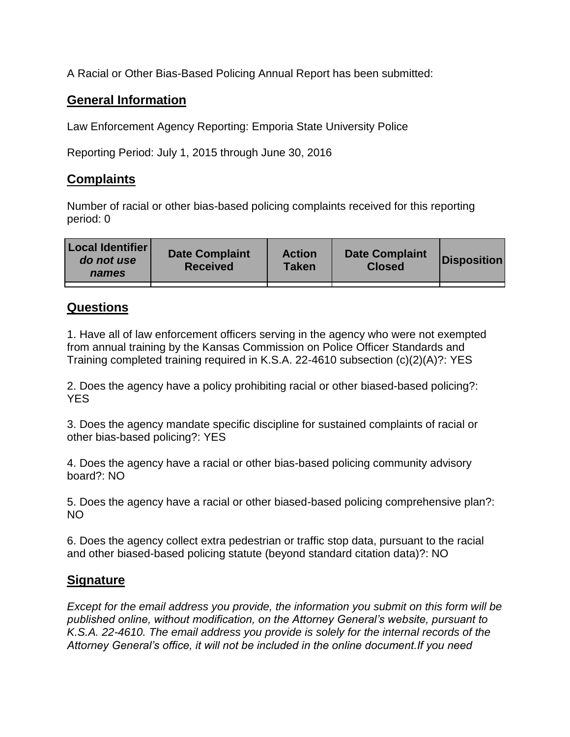A Racial or Other Bias-Based Policing Annual Report has been submitted:

## **General Information**

Law Enforcement Agency Reporting: Emporia State University Police

Reporting Period: July 1, 2015 through June 30, 2016

## **Complaints**

Number of racial or other bias-based policing complaints received for this reporting period: 0

| <b>Local Identifier</b><br>do not use<br>names | <b>Date Complaint</b><br><b>Received</b> | <b>Action</b><br><b>Taken</b> | <b>Date Complaint</b><br><b>Closed</b> | Disposition |
|------------------------------------------------|------------------------------------------|-------------------------------|----------------------------------------|-------------|
|                                                |                                          |                               |                                        |             |

## **Questions**

1. Have all of law enforcement officers serving in the agency who were not exempted from annual training by the Kansas Commission on Police Officer Standards and Training completed training required in K.S.A. 22-4610 subsection (c)(2)(A)?: YES

2. Does the agency have a policy prohibiting racial or other biased-based policing?: YES

3. Does the agency mandate specific discipline for sustained complaints of racial or other bias-based policing?: YES

4. Does the agency have a racial or other bias-based policing community advisory board?: NO

5. Does the agency have a racial or other biased-based policing comprehensive plan?: NO

6. Does the agency collect extra pedestrian or traffic stop data, pursuant to the racial and other biased-based policing statute (beyond standard citation data)?: NO

## **Signature**

*Except for the email address you provide, the information you submit on this form will be published online, without modification, on the Attorney General's website, pursuant to K.S.A. 22-4610. The email address you provide is solely for the internal records of the Attorney General's office, it will not be included in the online document.If you need*